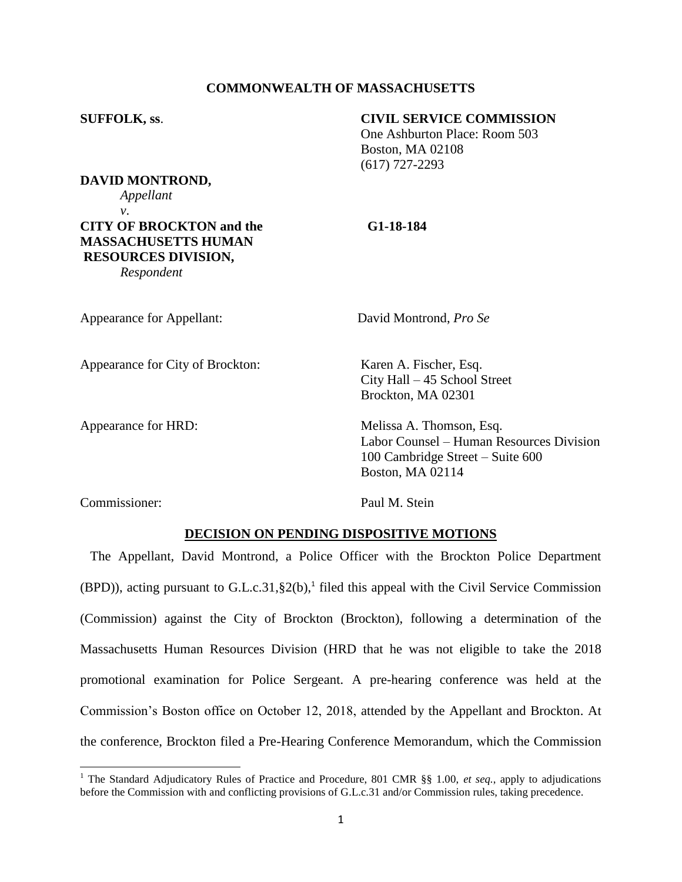# **COMMONWEALTH OF MASSACHUSETTS**

## **SUFFOLK, ss**. **CIVIL SERVICE COMMISSION**

One Ashburton Place: Room 503 Boston, MA 02108 (617) 727-2293

**DAVID MONTROND,** *Appellant*

*v*.

**CITY OF BROCKTON and the G1-18-184 MASSACHUSETTS HUMAN RESOURCES DIVISION,**

*Respondent*

Appearance for Appellant: David Montrond, *Pro Se*

Appearance for City of Brockton: Karen A. Fischer, Esq. City Hall – 45 School Street Brockton, MA 02301

Appearance for HRD: Melissa A. Thomson, Esq. Labor Counsel – Human Resources Division 100 Cambridge Street – Suite 600 Boston, MA 02114

Commissioner: Paul M. Stein

 $\overline{a}$ 

## **DECISION ON PENDING DISPOSITIVE MOTIONS**

The Appellant, David Montrond, a Police Officer with the Brockton Police Department  $(BPD)$ ), acting pursuant to G.L.c.31, §2(b),<sup>1</sup> filed this appeal with the Civil Service Commission (Commission) against the City of Brockton (Brockton), following a determination of the Massachusetts Human Resources Division (HRD that he was not eligible to take the 2018 promotional examination for Police Sergeant. A pre-hearing conference was held at the Commission's Boston office on October 12, 2018, attended by the Appellant and Brockton. At the conference, Brockton filed a Pre-Hearing Conference Memorandum, which the Commission

<sup>&</sup>lt;sup>1</sup> The Standard Adjudicatory Rules of Practice and Procedure, 801 CMR §§ 1.00, *et seq.*, apply to adjudications before the Commission with and conflicting provisions of G.L.c.31 and/or Commission rules, taking precedence.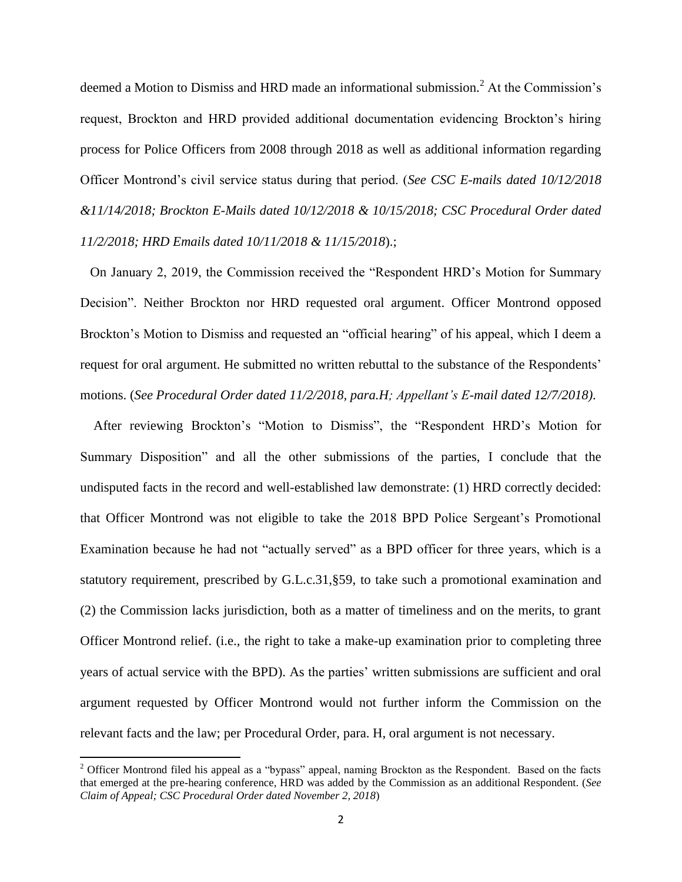deemed a Motion to Dismiss and HRD made an informational submission.<sup>2</sup> At the Commission's request, Brockton and HRD provided additional documentation evidencing Brockton's hiring process for Police Officers from 2008 through 2018 as well as additional information regarding Officer Montrond's civil service status during that period. (*See CSC E-mails dated 10/12/2018 &11/14/2018; Brockton E-Mails dated 10/12/2018 & 10/15/2018; CSC Procedural Order dated 11/2/2018; HRD Emails dated 10/11/2018 & 11/15/2018*).;

On January 2, 2019, the Commission received the "Respondent HRD's Motion for Summary Decision". Neither Brockton nor HRD requested oral argument. Officer Montrond opposed Brockton's Motion to Dismiss and requested an "official hearing" of his appeal, which I deem a request for oral argument. He submitted no written rebuttal to the substance of the Respondents' motions. (*See Procedural Order dated 11/2/2018, para.H; Appellant's E-mail dated 12/7/2018)*.

After reviewing Brockton's "Motion to Dismiss", the "Respondent HRD's Motion for Summary Disposition" and all the other submissions of the parties, I conclude that the undisputed facts in the record and well-established law demonstrate: (1) HRD correctly decided: that Officer Montrond was not eligible to take the 2018 BPD Police Sergeant's Promotional Examination because he had not "actually served" as a BPD officer for three years, which is a statutory requirement, prescribed by G.L.c.31,§59, to take such a promotional examination and (2) the Commission lacks jurisdiction, both as a matter of timeliness and on the merits, to grant Officer Montrond relief. (i.e., the right to take a make-up examination prior to completing three years of actual service with the BPD). As the parties' written submissions are sufficient and oral argument requested by Officer Montrond would not further inform the Commission on the relevant facts and the law; per Procedural Order, para. H, oral argument is not necessary.

 $\overline{\phantom{a}}$ 

 $2$  Officer Montrond filed his appeal as a "bypass" appeal, naming Brockton as the Respondent. Based on the facts that emerged at the pre-hearing conference, HRD was added by the Commission as an additional Respondent. (*See Claim of Appeal; CSC Procedural Order dated November 2, 2018*)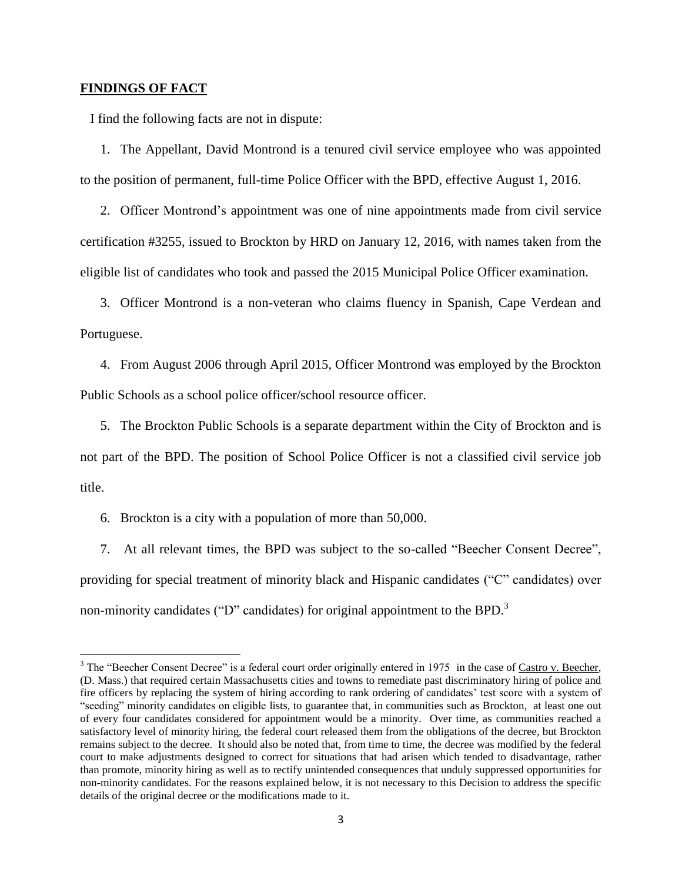#### **FINDINGS OF FACT**

 $\overline{\phantom{a}}$ 

I find the following facts are not in dispute:

1. The Appellant, David Montrond is a tenured civil service employee who was appointed to the position of permanent, full-time Police Officer with the BPD, effective August 1, 2016.

2. Officer Montrond's appointment was one of nine appointments made from civil service certification #3255, issued to Brockton by HRD on January 12, 2016, with names taken from the eligible list of candidates who took and passed the 2015 Municipal Police Officer examination.

3. Officer Montrond is a non-veteran who claims fluency in Spanish, Cape Verdean and Portuguese.

4. From August 2006 through April 2015, Officer Montrond was employed by the Brockton Public Schools as a school police officer/school resource officer.

5. The Brockton Public Schools is a separate department within the City of Brockton and is not part of the BPD. The position of School Police Officer is not a classified civil service job title.

6. Brockton is a city with a population of more than 50,000.

7. At all relevant times, the BPD was subject to the so-called "Beecher Consent Decree", providing for special treatment of minority black and Hispanic candidates ("C" candidates) over non-minority candidates ("D" candidates) for original appointment to the BPD.<sup>3</sup>

<sup>&</sup>lt;sup>3</sup> The "Beecher Consent Decree" is a federal court order originally entered in 1975 in the case of Castro v. Beecher, (D. Mass.) that required certain Massachusetts cities and towns to remediate past discriminatory hiring of police and fire officers by replacing the system of hiring according to rank ordering of candidates' test score with a system of "seeding" minority candidates on eligible lists, to guarantee that, in communities such as Brockton, at least one out of every four candidates considered for appointment would be a minority. Over time, as communities reached a satisfactory level of minority hiring, the federal court released them from the obligations of the decree, but Brockton remains subject to the decree. It should also be noted that, from time to time, the decree was modified by the federal court to make adjustments designed to correct for situations that had arisen which tended to disadvantage, rather than promote, minority hiring as well as to rectify unintended consequences that unduly suppressed opportunities for non-minority candidates. For the reasons explained below, it is not necessary to this Decision to address the specific details of the original decree or the modifications made to it.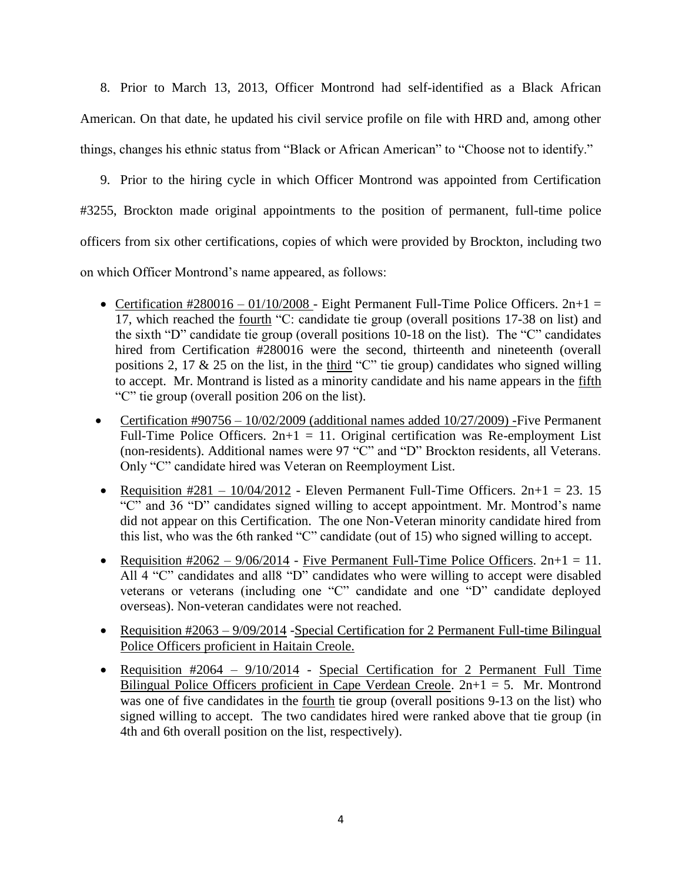8. Prior to March 13, 2013, Officer Montrond had self-identified as a Black African American. On that date, he updated his civil service profile on file with HRD and, among other things, changes his ethnic status from "Black or African American" to "Choose not to identify."

9. Prior to the hiring cycle in which Officer Montrond was appointed from Certification #3255, Brockton made original appointments to the position of permanent, full-time police officers from six other certifications, copies of which were provided by Brockton, including two on which Officer Montrond's name appeared, as follows:

- Certification #280016 01/10/2008 Eight Permanent Full-Time Police Officers.  $2n+1 =$ 17, which reached the fourth "C: candidate tie group (overall positions 17-38 on list) and the sixth "D" candidate tie group (overall positions 10-18 on the list). The "C" candidates hired from Certification #280016 were the second, thirteenth and nineteenth (overall positions 2, 17  $\&$  25 on the list, in the third "C" tie group) candidates who signed willing to accept. Mr. Montrand is listed as a minority candidate and his name appears in the fifth "C" tie group (overall position 206 on the list).
- Certification  $\text{\#}90756 10/02/2009$  (additional names added  $10/27/2009$ ) -Five Permanent Full-Time Police Officers.  $2n+1 = 11$ . Original certification was Re-employment List (non-residents). Additional names were 97 "C" and "D" Brockton residents, all Veterans. Only "C" candidate hired was Veteran on Reemployment List.
- Requisition  $\text{\#281} 10/04/2012$  Eleven Permanent Full-Time Officers.  $2n+1 = 23.15$ "C" and 36 "D" candidates signed willing to accept appointment. Mr. Montrod's name did not appear on this Certification. The one Non-Veteran minority candidate hired from this list, who was the 6th ranked "C" candidate (out of 15) who signed willing to accept.
- Requisition  $\text{\#2062} \frac{9}{06}{\}/2014$  Five Permanent Full-Time Police Officers.  $2n+1 = 11$ . All 4 "C" candidates and all8 "D" candidates who were willing to accept were disabled veterans or veterans (including one "C" candidate and one "D" candidate deployed overseas). Non-veteran candidates were not reached.
- Requisition #2063 9/09/2014 Special Certification for 2 Permanent Full-time Bilingual Police Officers proficient in Haitain Creole.
- Requisition #2064 9/10/2014 Special Certification for 2 Permanent Full Time Bilingual Police Officers proficient in Cape Verdean Creole.  $2n+1 = 5$ . Mr. Montrond was one of five candidates in the <u>fourth</u> tie group (overall positions 9-13 on the list) who signed willing to accept. The two candidates hired were ranked above that tie group (in 4th and 6th overall position on the list, respectively).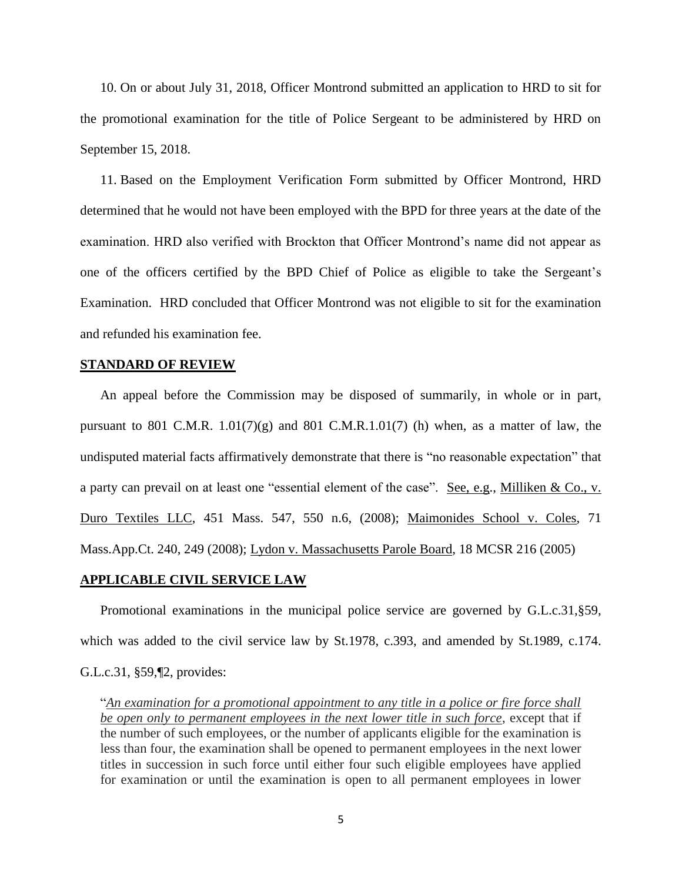10. On or about July 31, 2018, Officer Montrond submitted an application to HRD to sit for the promotional examination for the title of Police Sergeant to be administered by HRD on September 15, 2018.

11. Based on the Employment Verification Form submitted by Officer Montrond, HRD determined that he would not have been employed with the BPD for three years at the date of the examination. HRD also verified with Brockton that Officer Montrond's name did not appear as one of the officers certified by the BPD Chief of Police as eligible to take the Sergeant's Examination. HRD concluded that Officer Montrond was not eligible to sit for the examination and refunded his examination fee.

#### **STANDARD OF REVIEW**

An appeal before the Commission may be disposed of summarily, in whole or in part, pursuant to 801 C.M.R.  $1.01(7)(g)$  and 801 C.M.R.  $1.01(7)$  (h) when, as a matter of law, the undisputed material facts affirmatively demonstrate that there is "no reasonable expectation" that a party can prevail on at least one "essential element of the case". See, e.g., Milliken & Co., v. Duro Textiles LLC, 451 Mass. 547, 550 n.6, (2008); Maimonides School v. Coles, 71 Mass.App.Ct. 240, 249 (2008); Lydon v. Massachusetts Parole Board, 18 MCSR 216 (2005)

## **APPLICABLE CIVIL SERVICE LAW**

Promotional examinations in the municipal police service are governed by G.L.c.31,§59, which was added to the civil service law by St.1978, c.393, and amended by St.1989, c.174. G.L.c.31, §59,¶2, provides:

"*An examination for a promotional appointment to any title in a police or fire force shall be open only to permanent employees in the next lower title in such force*, except that if the number of such employees, or the number of applicants eligible for the examination is less than four, the examination shall be opened to permanent employees in the next lower titles in succession in such force until either four such eligible employees have applied for examination or until the examination is open to all permanent employees in lower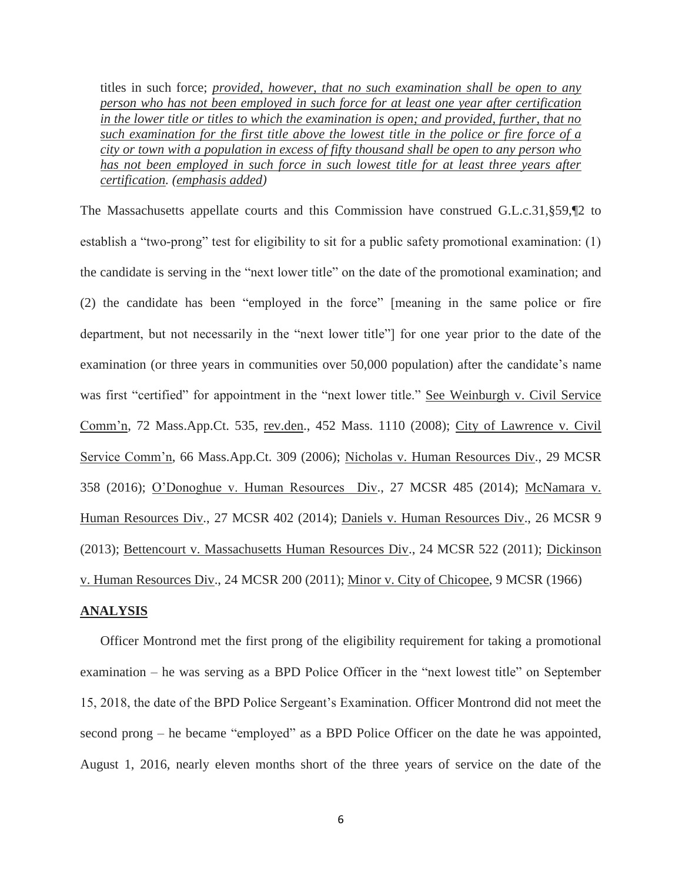titles in such force; *provided, however, that no such examination shall be open to any person who has not been employed in such force for at least one year after certification in the lower title or titles to which the examination is open; and provided, further, that no such examination for the first title above the lowest title in the police or fire force of a city or town with a population in excess of fifty thousand shall be open to any person who has not been employed in such force in such lowest title for at least three years after certification. (emphasis added)*

The Massachusetts appellate courts and this Commission have construed G.L.c.31,§59,¶2 to establish a "two-prong" test for eligibility to sit for a public safety promotional examination: (1) the candidate is serving in the "next lower title" on the date of the promotional examination; and (2) the candidate has been "employed in the force" [meaning in the same police or fire department, but not necessarily in the "next lower title"] for one year prior to the date of the examination (or three years in communities over 50,000 population) after the candidate's name was first "certified" for appointment in the "next lower title." See Weinburgh v. Civil Service Comm'n, 72 Mass.App.Ct. 535, rev.den., 452 Mass. 1110 (2008); City of Lawrence v. Civil Service Comm'n, 66 Mass.App.Ct. 309 (2006); Nicholas v. Human Resources Div., 29 MCSR 358 (2016); O'Donoghue v. Human Resources Div., 27 MCSR 485 (2014); McNamara v. Human Resources Div., 27 MCSR 402 (2014); Daniels v. Human Resources Div., 26 MCSR 9 (2013); Bettencourt v. Massachusetts Human Resources Div., 24 MCSR 522 (2011); Dickinson v. Human Resources Div., 24 MCSR 200 (2011); Minor v. City of Chicopee, 9 MCSR (1966)

### **ANALYSIS**

Officer Montrond met the first prong of the eligibility requirement for taking a promotional examination – he was serving as a BPD Police Officer in the "next lowest title" on September 15, 2018, the date of the BPD Police Sergeant's Examination. Officer Montrond did not meet the second prong – he became "employed" as a BPD Police Officer on the date he was appointed, August 1, 2016, nearly eleven months short of the three years of service on the date of the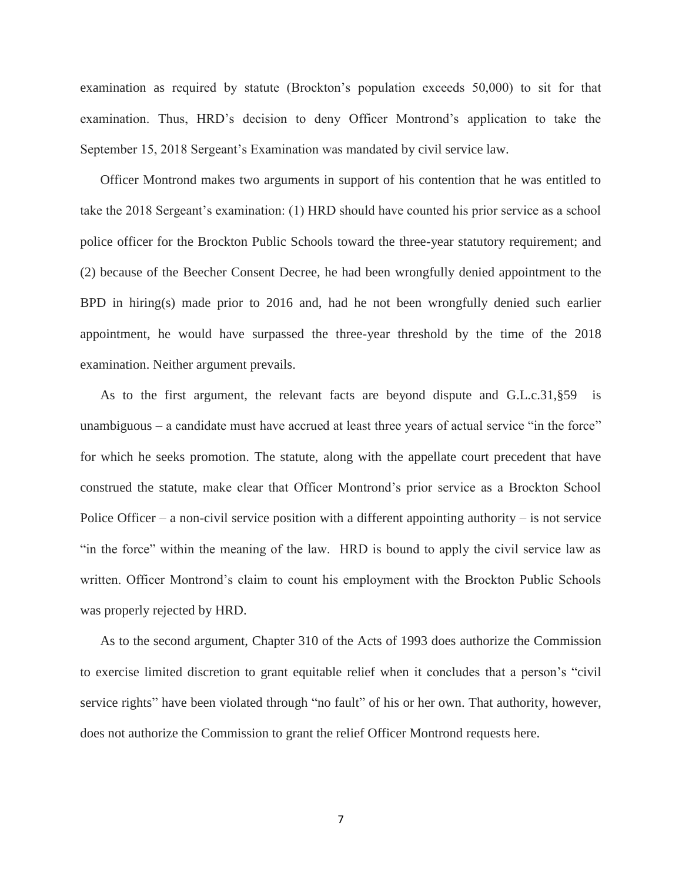examination as required by statute (Brockton's population exceeds 50,000) to sit for that examination. Thus, HRD's decision to deny Officer Montrond's application to take the September 15, 2018 Sergeant's Examination was mandated by civil service law.

Officer Montrond makes two arguments in support of his contention that he was entitled to take the 2018 Sergeant's examination: (1) HRD should have counted his prior service as a school police officer for the Brockton Public Schools toward the three-year statutory requirement; and (2) because of the Beecher Consent Decree, he had been wrongfully denied appointment to the BPD in hiring(s) made prior to 2016 and, had he not been wrongfully denied such earlier appointment, he would have surpassed the three-year threshold by the time of the 2018 examination. Neither argument prevails.

As to the first argument, the relevant facts are beyond dispute and G.L.c.31,§59 is unambiguous – a candidate must have accrued at least three years of actual service "in the force" for which he seeks promotion. The statute, along with the appellate court precedent that have construed the statute, make clear that Officer Montrond's prior service as a Brockton School Police Officer – a non-civil service position with a different appointing authority – is not service "in the force" within the meaning of the law. HRD is bound to apply the civil service law as written. Officer Montrond's claim to count his employment with the Brockton Public Schools was properly rejected by HRD.

As to the second argument, Chapter 310 of the Acts of 1993 does authorize the Commission to exercise limited discretion to grant equitable relief when it concludes that a person's "civil service rights" have been violated through "no fault" of his or her own. That authority, however, does not authorize the Commission to grant the relief Officer Montrond requests here.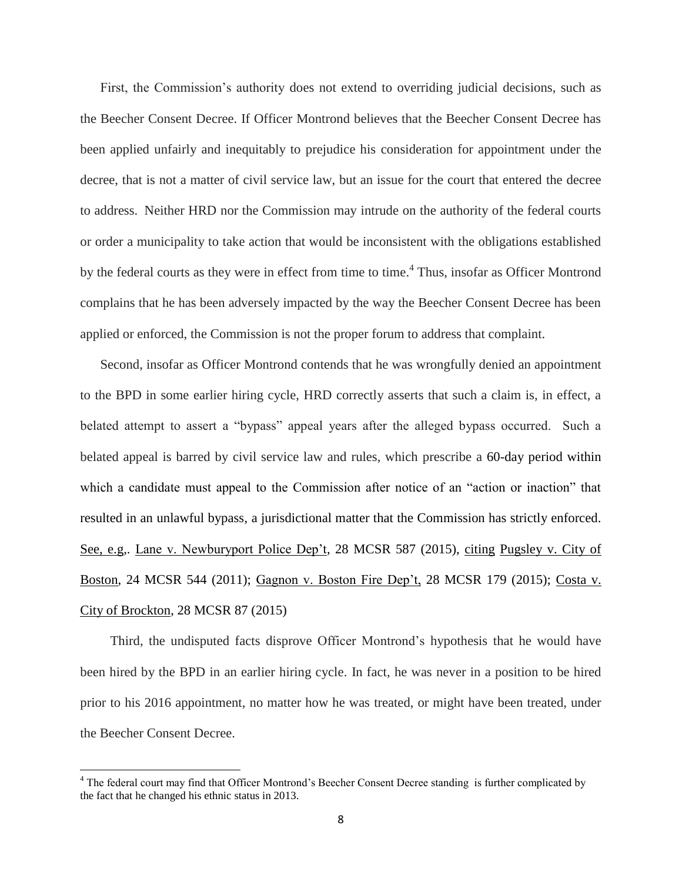First, the Commission's authority does not extend to overriding judicial decisions, such as the Beecher Consent Decree. If Officer Montrond believes that the Beecher Consent Decree has been applied unfairly and inequitably to prejudice his consideration for appointment under the decree, that is not a matter of civil service law, but an issue for the court that entered the decree to address. Neither HRD nor the Commission may intrude on the authority of the federal courts or order a municipality to take action that would be inconsistent with the obligations established by the federal courts as they were in effect from time to time.<sup>4</sup> Thus, insofar as Officer Montrond complains that he has been adversely impacted by the way the Beecher Consent Decree has been applied or enforced, the Commission is not the proper forum to address that complaint.

Second, insofar as Officer Montrond contends that he was wrongfully denied an appointment to the BPD in some earlier hiring cycle, HRD correctly asserts that such a claim is, in effect, a belated attempt to assert a "bypass" appeal years after the alleged bypass occurred. Such a belated appeal is barred by civil service law and rules, which prescribe a 60-day period within which a candidate must appeal to the Commission after notice of an "action or inaction" that resulted in an unlawful bypass, a jurisdictional matter that the Commission has strictly enforced. See, e.g,. Lane v. Newburyport Police Dep't, 28 MCSR 587 (2015), citing Pugsley v. City of Boston, 24 MCSR 544 (2011); Gagnon v. Boston Fire Dep't, 28 MCSR 179 (2015); Costa v. City of Brockton, 28 MCSR 87 (2015)

Third, the undisputed facts disprove Officer Montrond's hypothesis that he would have been hired by the BPD in an earlier hiring cycle. In fact, he was never in a position to be hired prior to his 2016 appointment, no matter how he was treated, or might have been treated, under the Beecher Consent Decree.

 $\overline{\phantom{a}}$ 

<sup>4</sup> The federal court may find that Officer Montrond's Beecher Consent Decree standing is further complicated by the fact that he changed his ethnic status in 2013.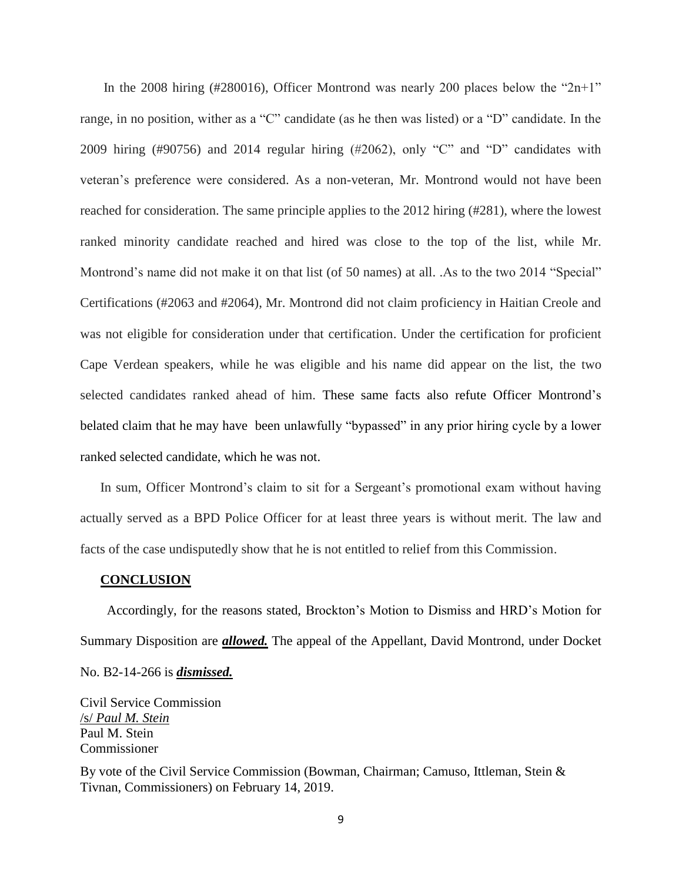In the 2008 hiring (#280016), Officer Montrond was nearly 200 places below the " $2n+1$ " range, in no position, wither as a "C" candidate (as he then was listed) or a "D" candidate. In the 2009 hiring (#90756) and 2014 regular hiring (#2062), only "C" and "D" candidates with veteran's preference were considered. As a non-veteran, Mr. Montrond would not have been reached for consideration. The same principle applies to the 2012 hiring (#281), where the lowest ranked minority candidate reached and hired was close to the top of the list, while Mr. Montrond's name did not make it on that list (of 50 names) at all. .As to the two 2014 "Special" Certifications (#2063 and #2064), Mr. Montrond did not claim proficiency in Haitian Creole and was not eligible for consideration under that certification. Under the certification for proficient Cape Verdean speakers, while he was eligible and his name did appear on the list, the two selected candidates ranked ahead of him. These same facts also refute Officer Montrond's belated claim that he may have been unlawfully "bypassed" in any prior hiring cycle by a lower ranked selected candidate, which he was not.

In sum, Officer Montrond's claim to sit for a Sergeant's promotional exam without having actually served as a BPD Police Officer for at least three years is without merit. The law and facts of the case undisputedly show that he is not entitled to relief from this Commission.

## **CONCLUSION**

 Accordingly, for the reasons stated, Brockton's Motion to Dismiss and HRD's Motion for Summary Disposition are *allowed.* The appeal of the Appellant, David Montrond, under Docket No. B2-14-266 is *dismissed.*

Civil Service Commission /s/ *Paul M. Stein* Paul M. Stein Commissioner

By vote of the Civil Service Commission (Bowman, Chairman; Camuso, Ittleman, Stein & Tivnan, Commissioners) on February 14, 2019.